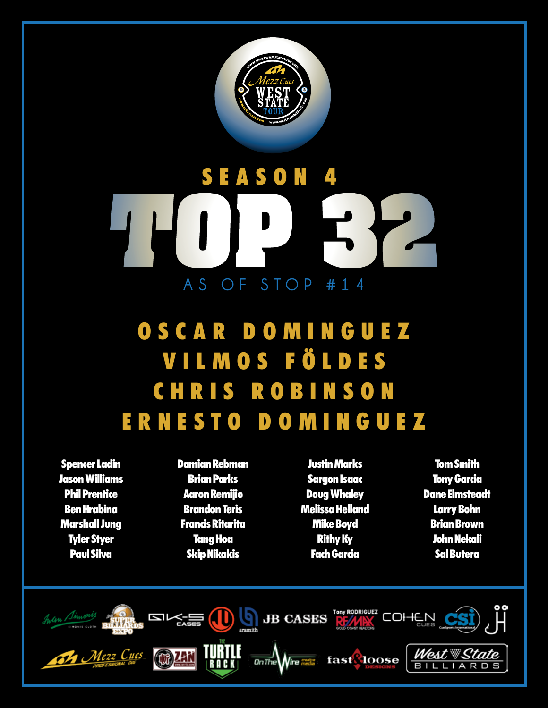

## **SEASON AS OF STOP #14**

## **OSCAR DOMINGUEZ VILMOS FÖLDES CHRIS ROBINSON ERNESTO DOMINGUEZ**

**Spencer Ladin Jason Williams Phil Prentice Ben Hrabina Marshall Jung Tyler Styer Paul Silva**

**Damian Rebman Brian Parks Aaron Remijio Brandon Teris Francis Ritarita Tang Hoa Skip Nikakis**

**Justin Marks Sargon Isaac Doug Whaley Melissa Helland Mike Boyd Rithy Ky Fach Garcia**

**Tom Smith Tony Garcia Dane Elmsteadt Larry Bohn Brian Brown John Nekali Sal Butera**

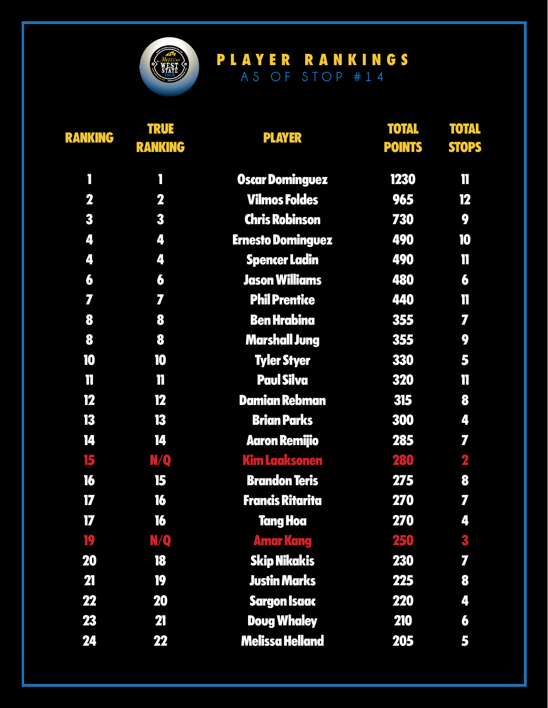

| <b>RANKING</b> | <b>TRUE</b><br><b>RANKING</b> | <b>PLAYER</b>            | <b>TOTAL</b><br><b>POINTS</b> | <b>TOTAL</b><br><b>STOPS</b> |
|----------------|-------------------------------|--------------------------|-------------------------------|------------------------------|
| П              | Ī                             | <b>Oscar Dominguez</b>   | 1230                          | 11                           |
| $\mathbf 2$    | 2                             | <b>Vilmos Foldes</b>     | 965                           | 12                           |
| 3              | 3                             | <b>Chris Robinson</b>    | 730                           | 9                            |
| 4              | 4                             | <b>Ernesto Dominguez</b> | 490                           | 10                           |
| 4              | 4                             | <b>Spencer Ladin</b>     | 490                           | $\mathbf T$                  |
| 6              | 6                             | <b>Jason Williams</b>    | 480                           | 6                            |
| 7              | 7                             | <b>Phil Prentice</b>     | 440                           | T                            |
| 8              | 8                             | <b>Ben Hrabina</b>       | 355                           | 7                            |
| 8              | 8                             | <b>Marshall Jung</b>     | 355                           | 9                            |
| 10             | 10                            | <b>Tyler Styer</b>       | 330                           | 5                            |
| $\mathbf{I}$   | $\mathbf{I}$                  | <b>Paul Silva</b>        | 320                           | T                            |
| 12             | 12                            | <b>Damian Rebman</b>     | 315                           | 8                            |
| 13             | 13                            | <b>Brian Parks</b>       | 300                           | 4                            |
| 14             | 14                            | <b>Aaron Remijio</b>     | 285                           | 7                            |
| 15             | <b>MQ</b>                     | <b>Kim Laaksonen</b>     | 280                           | 2                            |
| 16             | 15                            | <b>Brandon Teris</b>     | 275                           | 8                            |
| 17             | 16                            | <b>Francis Ritarita</b>  | 270                           | 7                            |
| $\overline{L}$ | 16                            | <b>Tang Hoa</b>          | <b>270</b>                    | 4                            |
| 19             | <b>VQ</b>                     | <b>Amar Kang</b>         | 250                           | 3                            |
| <b>20</b>      | 18                            | <b>Skip Nikakis</b>      | <b>230</b>                    | 7                            |
| 21             | 19                            | <b>Justin Marks</b>      | 225                           | 8                            |
| 22             | 20                            | <b>Sargon Isaac</b>      | <b>220</b>                    | 4                            |
| 23             | 21                            | <b>Doug Whaley</b>       | <b>210</b>                    | 6                            |
| 24             | 22                            | <b>Melissa Helland</b>   | 205                           | 5                            |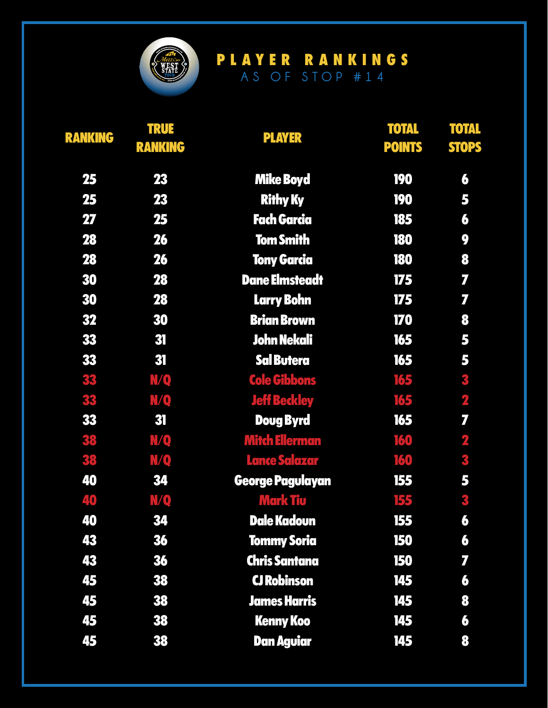

| <b>RANKING</b> | <b>TRUE</b><br><b>RANKING</b> | <b>PLAYER</b>         | <b>TOTAL</b><br><b>POINTS</b> | <b>TOTAL</b><br><b>STOPS</b> |
|----------------|-------------------------------|-----------------------|-------------------------------|------------------------------|
| 25             | 23                            | <b>Mike Boyd</b>      | <b>190</b>                    | 6                            |
| 25             | 23                            | <b>Rithy Ky</b>       | <b>190</b>                    | 5                            |
| 27             | 25                            | <b>Fach Garcia</b>    | 185                           | 6                            |
| <b>28</b>      | 26                            | <b>Tom Smith</b>      | 180                           | 9                            |
| 28             | 26                            | <b>Tony Garcia</b>    | <b>180</b>                    | 8                            |
| 30             | <b>28</b>                     | <b>Dane Elmsteadt</b> | 175                           | 7                            |
| 30             | <b>28</b>                     | <b>Larry Bohn</b>     | 175                           | 7                            |
| 32             | 30                            | <b>Brian Brown</b>    | 170                           | 8                            |
| 33             | 31                            | <b>John Nekali</b>    | 165                           | 5                            |
| 33             | 31                            | <b>Sal Butera</b>     | 165                           | 5                            |
| 33             | N/Q                           | <b>Cole Gibbons</b>   | 165                           | 3                            |
| 33             | N/Q                           | <b>Jeff Beckley</b>   | 165                           | $\overline{\mathbf{r}}$      |
| 33             | 31                            | <b>Doug Byrd</b>      | 165                           | 7                            |
| 38             | N/Q                           | <b>Mitch Ellerman</b> | 160                           | $\overline{\mathbf{z}}$      |
| 38             | N/Q                           | <b>Lance Salazar</b>  | 160                           | 3                            |
| 40             | 34                            | George Pagulayan      | 155                           | 5                            |
| 40             | <u>MQ</u>                     | <b>Mark Tiu</b>       | 155                           | 3                            |
| 40             | 34                            | <b>Dale Kadoun</b>    | 155                           | 6                            |
| 43             | 36                            | <b>Tommy Soria</b>    | 150                           | 6                            |
| 43             | 36                            | <b>Chris Santana</b>  | <b>150</b>                    | 7                            |
| 45             | 38                            | <b>CJ Robinson</b>    | 145                           | 6                            |
| 45             | 38                            | <b>James Harris</b>   | 145                           | 8                            |
| 45             | 38                            | <b>Kenny Koo</b>      | 145                           | 6                            |
| 45             | 38                            | <b>Dan Aguiar</b>     | 145                           | 8                            |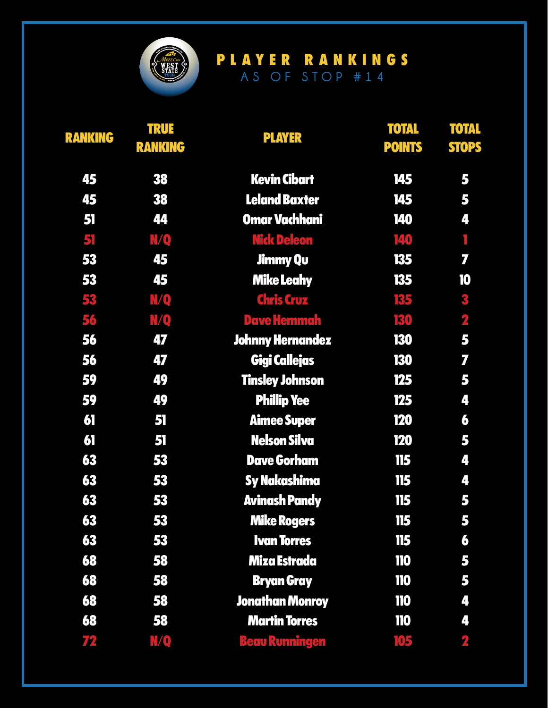

| <b>RANKING</b> | <b>TRUE</b><br><b>RANKING</b> | <b>PLAYER</b>           | <b>TOTAL</b><br><b>POINTS</b> | <b>TOTAL</b><br><b>STOPS</b> |
|----------------|-------------------------------|-------------------------|-------------------------------|------------------------------|
| 45             | 38                            | <b>Kevin Cibart</b>     | 145                           | 5                            |
| 45             | 38                            | <b>Leland Baxter</b>    | 145                           | 5                            |
| 51             | 44                            | <b>Omar Vachhani</b>    | 140                           | 4                            |
| 51             | N/Q                           | <b>Nick Deleon</b>      | 140                           | ī                            |
| 53             | 45                            | <b>Jimmy Qu</b>         | 135                           | 7                            |
| 53             | 45                            | <b>Mike Leahy</b>       | 135                           | 10                           |
| 53             | N/Q                           | <b>Chris Cruz</b>       | 135                           | 3                            |
| 56             | N/Q                           | <b>Dave Hemmah</b>      | 130                           | $\overline{\mathbf{z}}$      |
| 56             | 47                            | <b>Johnny Hernandez</b> | 130                           | 5                            |
| 56             | 47                            | <b>Gigi Callejas</b>    | <b>130</b>                    | 7                            |
| 59             | 49                            | <b>Tinsley Johnson</b>  | 125                           | 5                            |
| 59             | 49                            | <b>Phillip Yee</b>      | 125                           | 4                            |
| 61             | 51                            | <b>Aimee Super</b>      | <b>120</b>                    | 6                            |
| 61             | 51                            | <b>Nelson Silva</b>     | <b>120</b>                    | 5                            |
| 63             | 53                            | <b>Dave Gorham</b>      | 115                           | 4                            |
| 63             | 53                            | <b>Sy Nakashima</b>     | 115                           | 4                            |
| 63             | 53                            | <b>Avinash Pandy</b>    | 115                           | 5                            |
| 63             | 53                            | <b>Mike Rogers</b>      | 115                           | 5                            |
| 63             | 53                            | <b>Ivan Torres</b>      | 115                           | 6                            |
| 68             | 58                            | Miza Estrada            | 110                           | 5                            |
| 68             | 58                            | <b>Bryan Gray</b>       | 110                           | 5                            |
| 68             | 58                            | <b>Jonathan Monroy</b>  | 110                           | 4                            |
| 68             | 58                            | <b>Martin Torres</b>    | <b>110</b>                    | 4                            |
| 72             | N/Q                           | <u> Beau Runningen</u>  | 105                           | 2                            |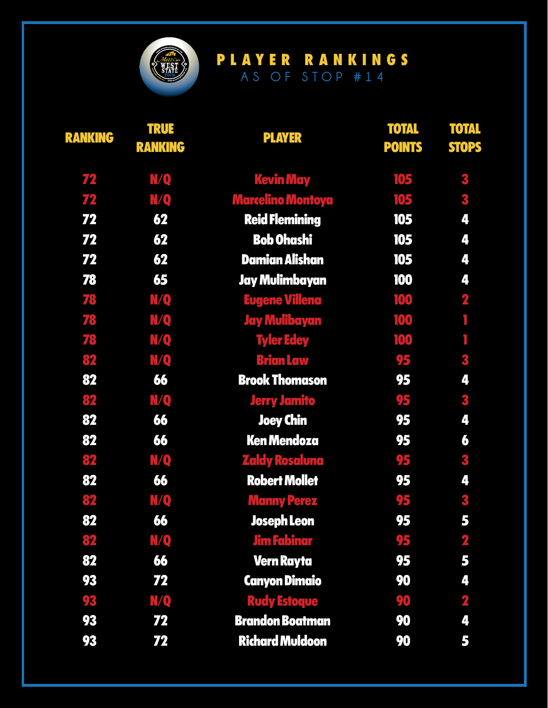

| <b>RANKING</b> | <b>TRUE</b><br><b>RANKING</b> | <b>PLAYER</b>            | <b>TOTAL</b><br><b>POINTS</b> | <b>TOTAL</b><br><b>STOPS</b> |
|----------------|-------------------------------|--------------------------|-------------------------------|------------------------------|
| 72             | N/Q                           | <b>Kevin May</b>         | 105                           | 3                            |
| 72             | <b>N/Q</b>                    | <b>Marcelino Montoya</b> | 105                           | 3                            |
| 72             | 62                            | <b>Reid Flemining</b>    | 105                           | 4                            |
| 72             | 62                            | <b>Bob Ohashi</b>        | 105                           | 4                            |
| 72             | 62                            | <b>Damian Alishan</b>    | 105                           | 4                            |
| 78             | 65                            | Jay Mulimbayan           | 100                           | 4                            |
| 78             | <b>N/Q</b>                    | <b>Eugene Villena</b>    | 100                           | $\overline{\mathbf{2}}$      |
| 78             | <b>MQ</b>                     | <b>Jay Mulibayan</b>     | 100                           | Ī                            |
| 78             | <b>N/Q</b>                    | <b>Tyler Edey</b>        | 100                           | Ī.                           |
| 82             | <b>N/Q</b>                    | <b>Brian Law</b>         | 95                            | 3                            |
| 82             | 66                            | <b>Brook Thomason</b>    | 95                            | 4                            |
| 82             | <b>N/Q</b>                    | <b>Jerry Jamito</b>      | 95                            | 3                            |
| 82             | 66                            | <b>Joey Chin</b>         | 95                            | 4                            |
| 82             | 66                            | <b>Ken Mendoza</b>       | 95                            | 6                            |
| 82             | <b>N/Q</b>                    | <b>Zaldy Rosaluna</b>    | 95                            | 3                            |
| 82             | 66                            | <b>Robert Mollet</b>     | 95                            | 4                            |
| 82             | <b>N/Q</b>                    | <b>Manny Perez</b>       | 95                            | 3                            |
| 82             | 66                            | Joseph Leon              | 95                            | 5                            |
| 82             | <b>N/Q</b>                    | <b>Jim Fabinar</b>       | 95                            | $\overline{\mathbf{2}}$      |
| 82             | 66                            | <b>Vern Rayta</b>        | 95                            | 5                            |
| 93             | 72                            | <b>Canyon Dimaio</b>     | 90                            | 4                            |
| 93             | N/Q                           | <b>Rudy Estoque</b>      | 90                            | $\overline{\mathbf{2}}$      |
| 93             | 72                            | <b>Brandon Boatman</b>   | 90                            | 4                            |
| 93             | 72                            | <b>Richard Muldoon</b>   | 90                            | 5                            |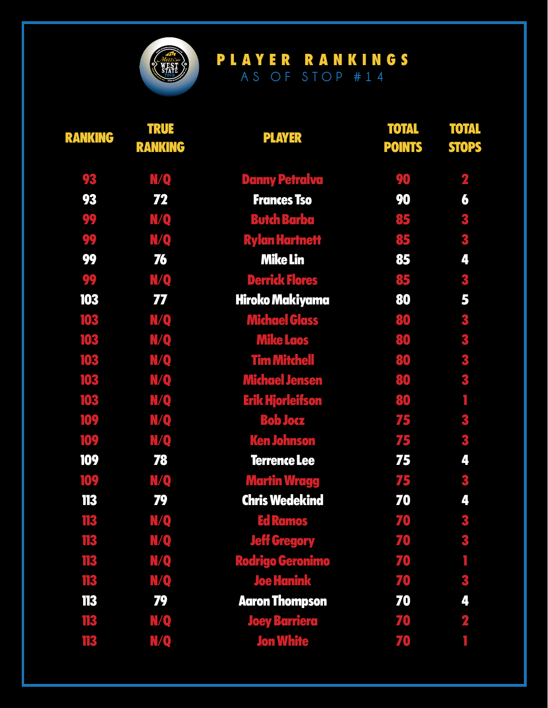

| <b>RANKING</b> | <b>TRUE</b><br><b>RANKING</b> | <b>PLAYER</b>           | <b>TOTAL</b><br><b>POINTS</b> | <b>TOTAL</b><br><b>STOPS</b> |
|----------------|-------------------------------|-------------------------|-------------------------------|------------------------------|
| 93             | <b>N/Q</b>                    | <b>Danny Petralva</b>   | 90                            | $\mathbf 2$                  |
| 93             | 72                            | <b>Frances Tso</b>      | 90                            | 6                            |
| 99             | N/Q                           | <b>Butch Barba</b>      | 85                            | 3                            |
| 99             | N/Q                           | <b>Rylan Hartnett</b>   | 85                            | 3                            |
| 99             | 76                            | <b>Mike Lin</b>         | 85                            | 4                            |
| 99             | N/Q                           | <b>Derrick Flores</b>   | 85                            | 3                            |
| 103            | 77                            | Hiroko Makiyama         | 80                            | 5                            |
| 103            | N/Q                           | <b>Michael Glass</b>    | 80                            | 3                            |
| 103            | <b>MQ</b>                     | <b>Mike Laos</b>        | 80                            | 3                            |
| 103            | N/Q                           | <b>Tim Mitchell</b>     | 80                            | 3                            |
| 103            | <b>N/Q</b>                    | <b>Michael Jensen</b>   | 80                            | 3                            |
| 103            | N/Q                           | <b>Erik Hjorleifson</b> | 80                            | ٦                            |
| 109            | N/Q                           | <b>Bob Jocz</b>         | 75                            | 3                            |
| 109            | N/Q                           | <b>Ken Johnson</b>      | 75                            | 3                            |
| 109            | 78                            | <b>Terrence Lee</b>     | 75                            | 4                            |
| 109            | N/Q                           | <b>Martin Wragg</b>     | 75                            | 3                            |
| 113            | 79                            | <b>Chris Wedekind</b>   | 70                            | 4                            |
| 113            | N/Q                           | <b>Ed Ramos</b>         | 70                            | 3                            |
| 113            | N/Q                           | <b>Jeff Gregory</b>     | 70                            | 3                            |
| 113            | <b>N/Q</b>                    | <b>Rodrigo Geronimo</b> | 70                            |                              |
| 113            | N/Q                           | <b>Joe Hanink</b>       | 70                            | 3                            |
| 113            | 79                            | <b>Aaron Thompson</b>   | 70                            | 4                            |
| 113            | N/Q                           | <b>Joey Barriera</b>    | 70                            | $\mathbf 2$                  |
| 113            | N/Q                           | <b>Jon White</b>        | 70                            |                              |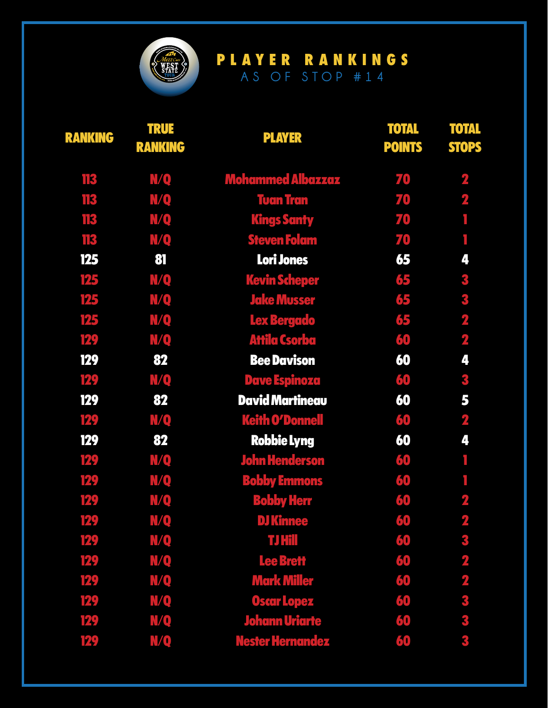

| <b>RANKING</b> | <b>TRUE</b><br><b>RANKING</b> | <b>PLAYER</b>            | <b>TOTAL</b><br><b>POINTS</b> | <b>TOTAL</b><br><b>STOPS</b> |
|----------------|-------------------------------|--------------------------|-------------------------------|------------------------------|
| 113            | <u>MQ</u>                     | <b>Mohammed Albazzaz</b> | 70                            | $\overline{\mathbf{2}}$      |
| 113            | N/Q                           | <b>Tuan Tran</b>         | 70                            | $\overline{\mathbf{2}}$      |
| 113            | <b>N/Q</b>                    | <b>Kings Santy</b>       | 70                            | ٦                            |
| 113            | N/Q                           | <b>Steven Folam</b>      | 70                            |                              |
| 125            | 81                            | Lori Jones               | 65                            | 4                            |
| 125            | <b>N/Q</b>                    | <b>Kevin Scheper</b>     | 65                            | 3                            |
| 125            | N/Q                           | <b>Jake Musser</b>       | 65                            | 3                            |
| 125            | N/Q                           | Lex Bergado              | 65                            | $\overline{\mathbf{z}}$      |
| 129            | N/Q                           | <b>Attila Csorba</b>     | 60                            | $\mathbf{z}$                 |
| 129            | 82                            | <b>Bee Davison</b>       | 60                            | 4                            |
| 129            | N/Q                           | <b>Dave Espinoza</b>     | 60                            | 3                            |
| 129            | 82                            | <b>David Martineau</b>   | 60                            | 5                            |
| 129            | N/Q                           | <b>Keith O'Donnell</b>   | 60                            | $\mathbf{2}$                 |
| 129            | 82                            | <b>Robbie Lyng</b>       | 60                            | 4                            |
| 129            | N/Q                           | <b>John Henderson</b>    | 60                            |                              |
| 129            | <b>N/Q</b>                    | <b>Bobby Emmons</b>      | 60                            |                              |
| 129            | N/Q                           | <b>Bobby Herr</b>        | 60                            | $\overline{\mathbf{2}}$      |
| 129            | N/Q                           | <b>DJ Kinnee</b>         | 60                            | 9                            |
| 129            | <b>N/Q</b>                    | <b>TJ Hill</b>           | 60                            | 3                            |
| 129            | <b>N/Q</b>                    | <b>Lee Brett</b>         | 60                            | $\overline{\mathbf{2}}$      |
| 129            | <b>N/Q</b>                    | <b>Mark Miller</b>       | 60                            | $\overline{\mathbf{z}}$      |
| 129            | <b>MQ</b>                     | <b>Oscar Lopez</b>       | 60                            | 3                            |
| 129            | N/Q                           | <b>Johann Uriarte</b>    | 60                            | 3                            |
| 129            | N/Q                           | <b>Nester Hernandez</b>  | 60                            | 3                            |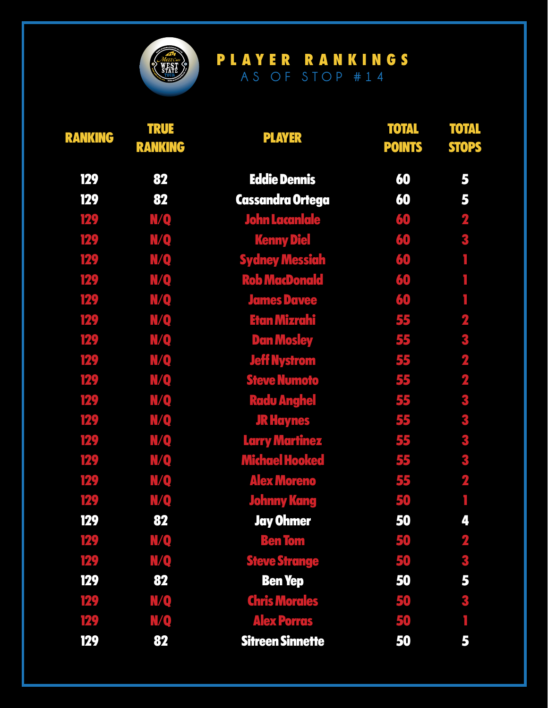

| <b>RANKING</b> | <b>TRUE</b><br><b>RANKING</b> | <b>PLAYER</b>           | <b>TOTAL</b><br><b>POINTS</b> | <b>TOTAL</b><br><b>STOPS</b> |
|----------------|-------------------------------|-------------------------|-------------------------------|------------------------------|
| 129            | 82                            | <b>Eddie Dennis</b>     | 60                            | 5                            |
| 129            | 82                            | <b>Cassandra Ortega</b> | 60                            | 5                            |
| 129            | N/Q                           | <b>John Lacanlale</b>   | 60                            | $\mathbf 2$                  |
| 129            | N/Q                           | <b>Kenny Die</b>        | 60                            | 3                            |
| 129            | N/Q                           | <b>Sydney Messiah</b>   | 60                            |                              |
| 129            | N/Q                           | <b>Rob MacDonald</b>    | 60                            |                              |
| 129            | <b>N/Q</b>                    | <b>James Davee</b>      | 60                            | I.                           |
| 129            | N/Q                           | <b>Etan Mizrahi</b>     | 55                            | 2                            |
| 129            | N/Q                           | <b>Dan Mosley</b>       | 55                            | 3                            |
| 129            | N/Q                           | <b>Jeff Nystrom</b>     | 55                            | $\overline{\mathbf{z}}$      |
| 129            | N/Q                           | <b>Steve Numoto</b>     | 55                            | $\overline{\mathbf{2}}$      |
| 129            | N/Q                           | <b>Radu Anghel</b>      | 55                            | 3                            |
| 129            | N/Q                           | <b>JR Haynes</b>        | 55                            | 3                            |
| 129            | N/Q                           | <b>Larry Martinez</b>   | 55                            | 3                            |
| 129            | N/Q                           | <b>Michael Hooked</b>   | 55                            | 3                            |
| 129            | <b>N/Q</b>                    | <b>Alex Moreno</b>      | 55                            | $\overline{\mathbf{z}}$      |
| 129            | N/Q                           | <b>Johnny Kang</b>      | 50                            |                              |
| 129            | 82                            | <b>Jay Ohmer</b>        | 50                            | 4                            |
| 129            | N/Q                           | <b>Ben Tom</b>          | 50                            | $\overline{\mathbf{z}}$      |
| 129            | N/Q                           | <b>Steve Strange</b>    | 50                            | 3                            |
| 129            | 82                            | <b>Ben Yep</b>          | 50                            | 5                            |
| 129            | <b>N/Q</b>                    | <b>Chris Morales</b>    | 50                            | 3                            |
| 129            | N/Q                           | <b>Alex Porras</b>      | 50                            |                              |
| 129            | 82                            | <b>Sitreen Sinnette</b> | 50                            | 5                            |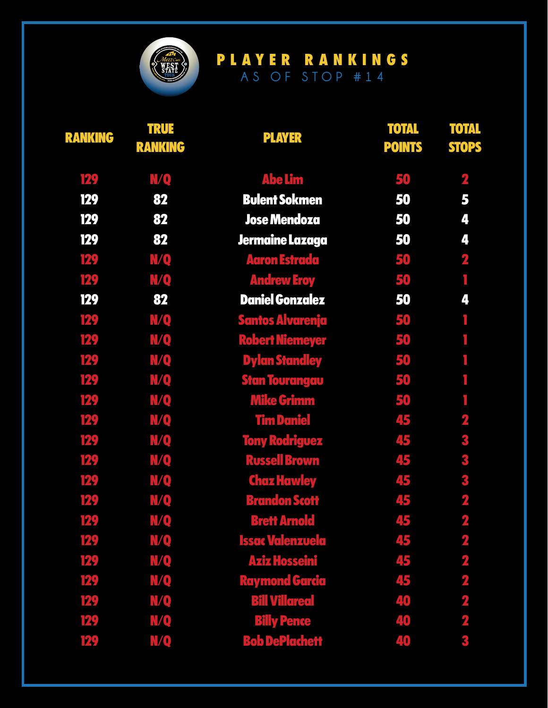

| <b>RANKING</b> | <b>TRUE</b><br><b>RANKING</b> | <b>PLAYER</b>           | <b>TOTAL</b><br><b>POINTS</b> | <b>TOTAL</b><br><b>STOPS</b> |
|----------------|-------------------------------|-------------------------|-------------------------------|------------------------------|
| 129            | N/Q                           | <b>Abe Lim</b>          | 50                            | $\mathbf{z}$                 |
| <b>129</b>     | 82                            | <b>Bulent Sokmen</b>    | 50                            | 5                            |
| <b>129</b>     | 82                            | <b>Jose Mendoza</b>     | 50                            | 4                            |
| 129            | 82                            | Jermaine Lazaga         | 50                            | 4                            |
| 129            | N/Q                           | <b>Aaron Estrada</b>    | 50                            | $\overline{\mathbf{z}}$      |
| 129            | N/Q                           | <b>Andrew Eroy</b>      | 50                            | f,                           |
| 129            | 82                            | <b>Daniel Gonzalez</b>  | 50                            | 4                            |
| 129            | <b>N/Q</b>                    | <b>Santos Alvarenja</b> | 50                            | Ī.                           |
| 129            | N/Q                           | <b>Robert Niemeyer</b>  | 50                            | I,                           |
| 129            | <b>N/Q</b>                    | <b>Dylan Standley</b>   | 50                            | ۱                            |
| 129            | N/Q                           | <b>Stan Tourangau</b>   | 50                            | I.                           |
| 129            | <b>N/Q</b>                    | <b>Mike Grimm</b>       | 50                            |                              |
| 129            | N/Q                           | <b>Tim Daniel</b>       | 45                            | $\overline{\mathbf{2}}$      |
| 129            | N/Q                           | <b>Tony Rodriguez</b>   | 45                            | 3                            |
| 129            | N/Q                           | <b>Russell Brown</b>    | 45                            | 3                            |
| 129            | N/Q                           | <b>Chaz Hawley</b>      | 45                            | 3                            |
| 129            | N/Q                           | <b>Brandon Scott</b>    | 45                            | $\overline{\mathbf{2}}$      |
| 129            | <b>N/Q</b>                    | <b>Brett Arnold</b>     | 45                            | $\overline{\mathbf{2}}$      |
| 129            | N/Q                           | <b>Issac Valenzuela</b> | 45                            | $\overline{\mathbf{2}}$      |
| 129            | <b>N/Q</b>                    | <b>Aziz Hosseini</b>    | 45                            | $\overline{\mathbf{2}}$      |
| 129            | N/Q                           | <b>Raymond Garcia</b>   | 45                            | $\overline{\mathbf{2}}$      |
| 129            | N/Q                           | <b>Bill Villareal</b>   | 40                            | $\overline{\mathbf{2}}$      |
| 129            | N/Q                           | <b>Billy Pence</b>      | 40                            | $\overline{\mathbf{2}}$      |
| 129            | N/Q                           | <b>Bob DePlachett</b>   | 40                            | 3                            |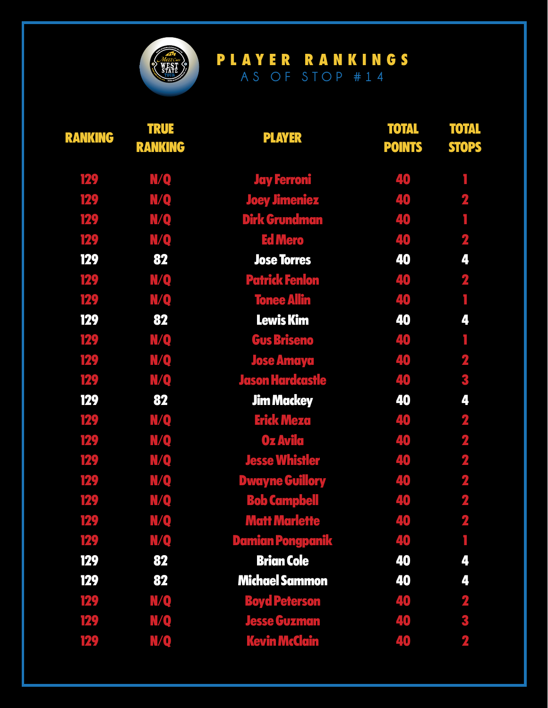

| <b>RANKING</b> | <b>TRUE</b><br><b>RANKING</b> | <b>PLAYER</b>           | <b>TOTAL</b><br><b>POINTS</b> | <b>TOTAL</b><br><b>STOPS</b> |
|----------------|-------------------------------|-------------------------|-------------------------------|------------------------------|
| 129            | <b>N/Q</b>                    | <b>Jay Ferroni</b>      | 40                            |                              |
| 129            | <b>MQ</b>                     | <b>Joey Jimeniez</b>    | 40                            | $\overline{\mathbf{z}}$      |
| 129            | <b>N/Q</b>                    | <b>Dirk Grundman</b>    | 40                            |                              |
| 129            | N/Q                           | <b>Ed Mero</b>          | 40                            | $\overline{\mathbf{2}}$      |
| 129            | 82                            | <b>Jose Torres</b>      | 40                            | 4                            |
| 129            | <b>N/Q</b>                    | <b>Patrick Fenlon</b>   | 40                            | $\overline{\mathbf{2}}$      |
| 129            | N/Q                           | <b>Tonee Allin</b>      | 40                            | f,                           |
| 129            | 82                            | <b>Lewis Kim</b>        | 40                            | 4                            |
| 129            | N/Q                           | <b>Gus Briseno</b>      | 40                            | ٦                            |
| 129            | <b>N/Q</b>                    | <b>Jose Amaya</b>       | 40                            | $\overline{\mathbf{2}}$      |
| 129            | N/Q                           | <b>Jason Hardcastle</b> | 40                            | 3                            |
| 129            | 82                            | <b>Jim Mackey</b>       | 40                            | 4                            |
| 129            | N/Q                           | <b>Erick Meza</b>       | 40                            | $\overline{\mathbf{z}}$      |
| 129            | <b>N/Q</b>                    | Oz Avila                | 40                            | $\overline{\mathbf{2}}$      |
| 129            | N/Q                           | <b>Jesse Whistler</b>   | 40                            | $\overline{\mathbf{2}}$      |
| 129            | <b>N/Q</b>                    | <b>Dwayne Guillory</b>  | 40                            | $\mathbf{z}$                 |
| 129            | N/Q                           | <b>Bob Campbell</b>     | 40                            | $\overline{\mathbf{z}}$      |
| 129            | N/Q                           | <b>Matt Marlette</b>    | 40                            | $\overline{\mathbf{2}}$      |
| 129            | <b>N/Q</b>                    | <b>Damian Pongpanik</b> | 40                            |                              |
| 129            | 82                            | <b>Brian Cole</b>       | 40                            | 4                            |
| 129            | 82                            | <b>Michael Sammon</b>   | 40                            | 4                            |
| 129            | N/Q                           | <b>Boyd Peterson</b>    | 40                            | $\mathbf{2}$                 |
| 129            | N/Q                           | <b>Jesse Guzman</b>     | 40                            | 3                            |
| 129            | N/Q                           | <b>Kevin McClain</b>    | 40                            | $\overline{\mathbf{2}}$      |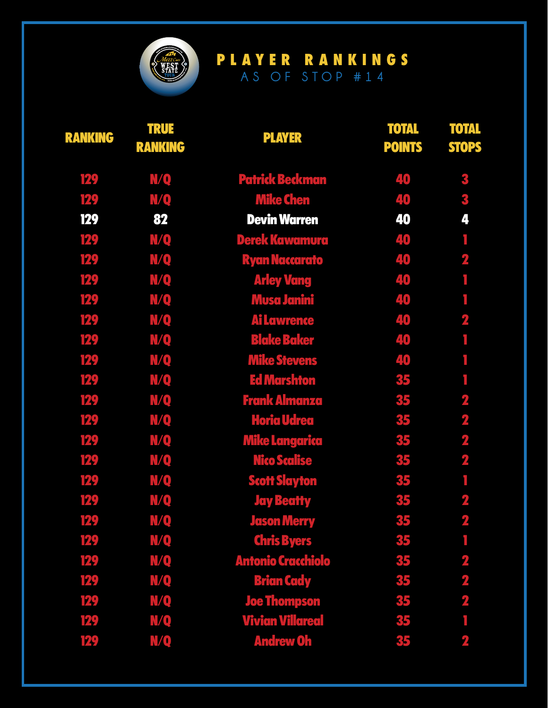

| <b>RANKING</b> | <b>TRUE</b><br><b>RANKING</b> | <b>PLAYER</b>             | <b>TOTAL</b><br><b>POINTS</b> | <b>TOTAL</b><br><b>STOPS</b> |
|----------------|-------------------------------|---------------------------|-------------------------------|------------------------------|
| 129            | <u>MQ</u>                     | <b>Patrick Beckman</b>    | 40                            | 3                            |
| 129            | N/Q                           | <b>Mike Chen</b>          | 40                            | 3                            |
| 129            | 82                            | <b>Devin Warren</b>       | 40                            | 4                            |
| 129            | N/Q                           | <b>Derek Kawamura</b>     | 40                            | ī                            |
| 129            | N/Q                           | <b>Ryan Naccarato</b>     | 40                            | $\mathbf{z}$                 |
| 129            | N/Q                           | <b>Arley Vang</b>         | 40                            |                              |
| 129            | N/Q                           | <b>Musa Janini</b>        | 40                            | f,                           |
| 129            | N/Q                           | <b>Ai Lawrence</b>        | 40                            | $\overline{\mathbf{z}}$      |
| 129            | N/Q                           | <b>Blake Baker</b>        | 40                            | T,                           |
| 129            | N/Q                           | <b>Mike Stevens</b>       | 40                            |                              |
| 129            | N/Q                           | <b>Ed Marshton</b>        | 35                            |                              |
| 129            | N/Q                           | <b>Frank Almanza</b>      | 35                            | 2                            |
| 129            | N/Q                           | <b>Horia Udrea</b>        | 35                            | $\overline{\mathbf{z}}$      |
| 129            | N/Q                           | <b>Mike Langarica</b>     | 35                            | $\mathbf 2$                  |
| 129            | N/Q                           | <b>Nico Scalise</b>       | 35                            | $\mathbf{z}$                 |
| 129            | N/Q                           | <b>Scott Slayton</b>      | 35                            | T                            |
| 129            | N/Q                           | <b>Jay Beatty</b>         | 35                            | $\overline{\mathbf{2}}$      |
| 129            | <b>N/Q</b>                    | <b>Jason Merry</b>        | 35                            | $\overline{\mathbf{2}}$      |
| 129            | N/Q                           | <b>Chris Byers</b>        | 35                            |                              |
| 129            | <b>N/Q</b>                    | <b>Antonio Cracchiolo</b> | 35                            | $\overline{\mathbf{2}}$      |
| 129            | N/Q                           | <b>Brian Cady</b>         | 35                            | $\overline{\mathbf{2}}$      |
| 129            | <b>N/Q</b>                    | <b>Joe Thompson</b>       | 35                            | $\overline{\mathbf{2}}$      |
| 129            | <b>N/Q</b>                    | <b>Vivian Villareal</b>   | 35                            |                              |
| 129            | N/Q                           | <b>Andrew Oh</b>          | 35                            | $\overline{\mathbf{2}}$      |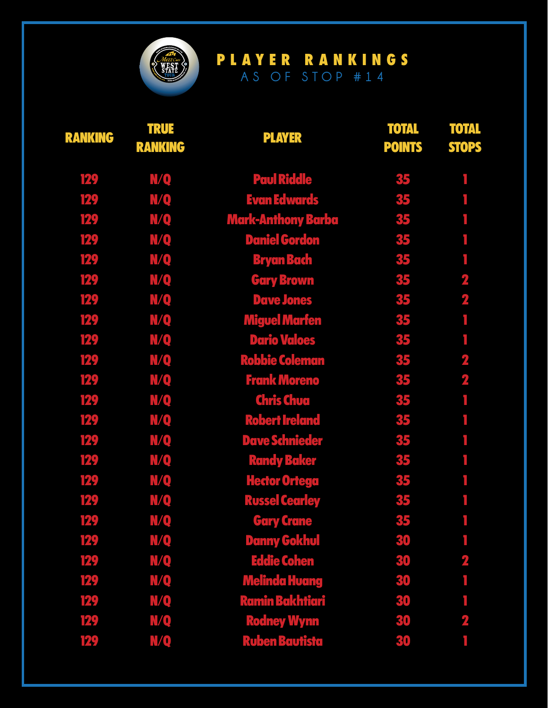

| <b>RANKING</b> | <b>TRUE</b><br><b>RANKING</b> | <b>PLAYER</b>             | <b>TOTAL</b><br><b>POINTS</b> | <b>TOTAL</b><br><b>STOPS</b> |
|----------------|-------------------------------|---------------------------|-------------------------------|------------------------------|
| 129            | <b>N/Q</b>                    | <b>Paul Riddle</b>        | 35                            |                              |
| 129            | <b>N/Q</b>                    | <b>Evan Edwards</b>       | 35                            |                              |
| 129            | <b>N/Q</b>                    | <b>Mark-Anthony Barba</b> | 35                            |                              |
| 129            | <b>N/Q</b>                    | <b>Daniel Gordon</b>      | 35                            |                              |
| 129            | <b>N/Q</b>                    | <b>Bryan Bach</b>         | 35                            |                              |
| 129            | <b>N/Q</b>                    | <b>Gary Brown</b>         | 35                            | $\overline{\mathbf{2}}$      |
| 129            | <b>N/Q</b>                    | <b>Dave Jones</b>         | 35                            | $\overline{\mathbf{z}}$      |
| 129            | <b>N/Q</b>                    | <b>Miguel Marfen</b>      | 35                            | f,                           |
| 129            | <b>N/Q</b>                    | <b>Dario Valoes</b>       | 35                            | ۱                            |
| 129            | <b>N/Q</b>                    | <b>Robbie Coleman</b>     | 35                            | $\overline{\mathbf{2}}$      |
| 129            | <b>N/Q</b>                    | <b>Frank Moreno</b>       | 35                            | $\overline{\mathbf{2}}$      |
| 129            | N/Q                           | <b>Chris Chua</b>         | 35                            |                              |
| 129            | <b>N/Q</b>                    | <b>Robert Ireland</b>     | 35                            |                              |
| 129            | <b>N/Q</b>                    | <b>Dave Schnieder</b>     | 35                            |                              |
| 129            | <b>N/Q</b>                    | <b>Randy Baker</b>        | 35                            |                              |
| 129            | <b>N/Q</b>                    | <b>Hector Ortega</b>      | 35                            |                              |
| 129            | <b>N/Q</b>                    | <b>Russel Cearley</b>     | 35                            |                              |
| 129            | N/Q                           | <b>Gary Crane</b>         | 35                            | r.                           |
| 129            | <b>MQ</b>                     | <b>Danny Gokhul</b>       | 30                            |                              |
| 129            | <b>N/Q</b>                    | <b>Eddie Cohen</b>        | 30                            | $\overline{\mathbf{2}}$      |
| 129            | <b>MQ</b>                     | <b>Melinda Huang</b>      | 30                            |                              |
| 129            | <b>N/Q</b>                    | <b>Ramin Bakhtiari</b>    | 30                            |                              |
| 129            | N/Q                           | <b>Rodney Wynn</b>        | 30                            | $\overline{\mathbf{2}}$      |
| 129            | <b>N/Q</b>                    | <b>Ruben Bautista</b>     | 30                            |                              |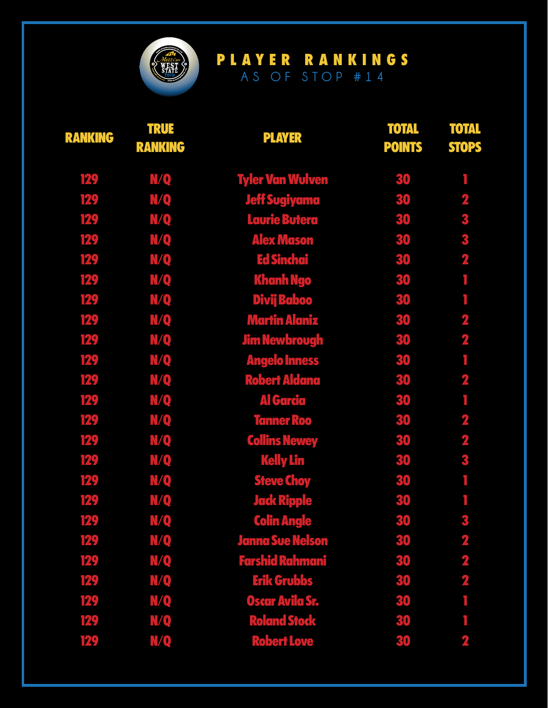

| <b>RANKING</b> | <b>TRUE</b><br><b>RANKING</b> | <b>PLAYER</b>           | <b>TOTAL</b><br><b>POINTS</b> | <b>TOTAL</b><br><b>STOPS</b> |
|----------------|-------------------------------|-------------------------|-------------------------------|------------------------------|
| 129            | N/Q                           | <b>Tyler Van Wulven</b> | 30                            |                              |
| 129            | <b>MQ</b>                     | <b>Jeff Sugiyama</b>    | 30                            | $\overline{\mathbf{2}}$      |
| 129            | <b>N/Q</b>                    | Laurie Butera           | 30                            | 3                            |
| 129            | <b>N/Q</b>                    | <b>Alex Mason</b>       | 30                            | 3                            |
| 129            | <b>N/Q</b>                    | <b>Ed Sinchai</b>       | 30                            | $\overline{\mathbf{2}}$      |
| 129            | <b>N/Q</b>                    | <b>Khanh Ngo</b>        | 30                            |                              |
| 129            | <b>N/Q</b>                    | <b>Divij Baboo</b>      | 30                            | I.                           |
| 129            | N/Q                           | <b>Martin Alaniz</b>    | 30                            | $\overline{\mathbf{z}}$      |
| 129            | <b>N/Q</b>                    | <b>Jim Newbrough</b>    | 30                            | $\overline{\mathbf{r}}$      |
| 129            | N/Q                           | <b>Angelo Inness</b>    | 30                            | Ī                            |
| 129            | N/Q                           | <b>Robert Aldana</b>    | 30                            | $\overline{\mathbf{z}}$      |
| 129            | N/Q                           | <u>Al Garcia</u>        | 30                            |                              |
| 129            | N/Q                           | <b>Tanner Roo</b>       | 30                            | $\overline{\mathbf{z}}$      |
| 129            | N/Q                           | <b>Collins Newey</b>    | 30                            | $\overline{\mathbf{2}}$      |
| 129            | N/Q                           | <b>Kelly Lin</b>        | 30                            | 3                            |
| 129            | <b>N/Q</b>                    | <b>Steve Choy</b>       | 30                            | Ī.                           |
| 129            | N/Q                           | <b>Jack Ripple</b>      | 30                            |                              |
| 129            | <b>N/Q</b>                    | <b>Colin Angle</b>      | 30                            | 3                            |
| 129            | <b>N/Q</b>                    | <b>Janna Sue Nelson</b> | 30                            | $\overline{\mathbf{2}}$      |
| 129            | N/Q                           | <b>Farshid Rahmani</b>  | 30                            | $\mathbf{z}$                 |
| 129            | N/Q                           | <b>Erik Grubbs</b>      | 30                            | $\overline{\mathbf{z}}$      |
| 129            | <b>MQ</b>                     | <b>Oscar Avila Sr.</b>  | 30                            |                              |
| 129            | N/Q                           | <b>Roland Stock</b>     | 30                            |                              |
| 129            | N/Q                           | <b>Robert Love</b>      | 30                            | $\overline{\mathbf{2}}$      |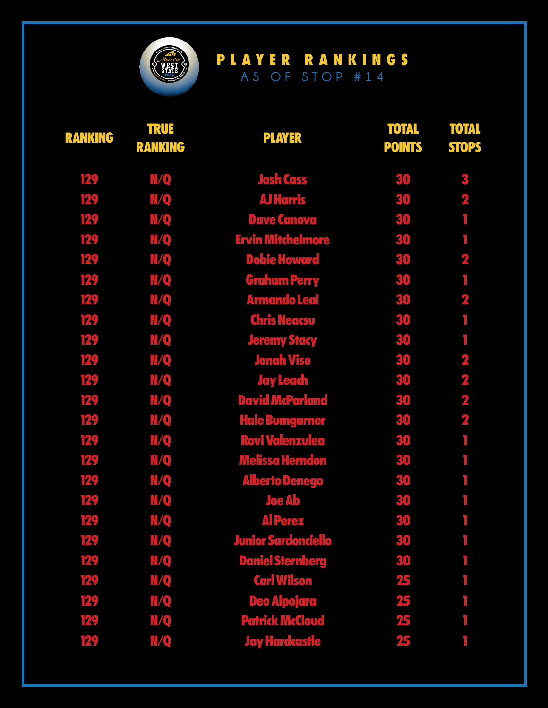

| <b>RANKING</b> | <b>TRUE</b><br><b>RANKING</b> | <b>PLAYER</b>              | <b>TOTAL</b><br><b>POINTS</b> | <b>TOTAL</b><br><b>STOPS</b> |
|----------------|-------------------------------|----------------------------|-------------------------------|------------------------------|
| 129            | <b>N/Q</b>                    | <b>Josh Cass</b>           | 30                            | 3                            |
| 129            | <b>N/Q</b>                    | <b>AJ Harris</b>           | 30                            | $\mathbf 2$                  |
| 129            | <b>N/Q</b>                    | <b>Dave Canova</b>         | 30                            |                              |
| 129            | <b>N/Q</b>                    | <b>Ervin Mitchelmore</b>   | 30                            |                              |
| 129            | N/Q                           | <b>Dobie Howard</b>        | 30                            | $\mathbf{2}$                 |
| 129            | <b>N/Q</b>                    | <b>Graham Perry</b>        | 30                            |                              |
| 129            | <b>N/Q</b>                    | <b>Armando Leal</b>        | 30                            | $\overline{\mathbf{z}}$      |
| 129            | <b>N/Q</b>                    | <b>Chris Neacsu</b>        | 30                            | ٦                            |
| 129            | N/Q                           | <b>Jeremy Stacy</b>        | 30                            |                              |
| 129            | <b>N/Q</b>                    | <b>Jonah Vise</b>          | 30                            | $\mathbf 2$                  |
| 129            | N/Q                           | <b>Jay Leach</b>           | 30                            | $\mathbf{Z}$                 |
| 129            | N/Q                           | <b>David McParland</b>     | 30                            | $\overline{\mathbf{2}}$      |
| 129            | N/Q                           | <b>Hale Bumgarner</b>      | 30                            | 2                            |
| 129            | N/Q                           | <b>Rovi Valenzulea</b>     | 30                            |                              |
| 129            | <b>N/Q</b>                    | <b>Melissa Herndon</b>     | 30                            |                              |
| 129            | <u>N/Q</u>                    | <b>Alberto Denego</b>      | 30                            |                              |
| 129            | N/Q                           | <b>Joe Ab</b>              | 30                            |                              |
| 129            | N/Q                           | <b>Al Perez</b>            | 30                            | T.                           |
| 129            | N/Q                           | <b>Junior Sardonciello</b> | 30                            |                              |
| 129            | N/Q                           | <b>Daniel Sternberg</b>    | 30                            |                              |
| 129            | N/Q                           | <b>Carl Wilson</b>         | 25                            |                              |
| 129            | N/Q                           | <b>Deo Alpojara</b>        | 25                            |                              |
| 129            | N/Q                           | <b>Patrick McCloud</b>     | 25                            |                              |
| 129            | N/Q                           | <b>Jay Hardcastle</b>      | 25                            |                              |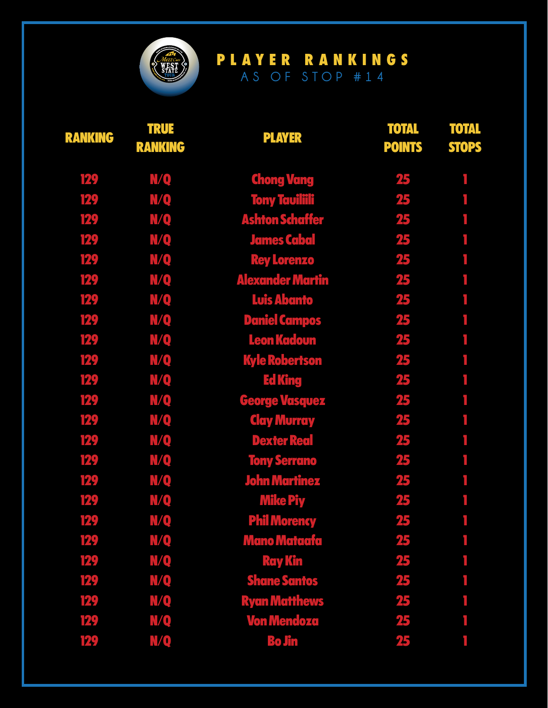

| <b>RANKING</b> | <b>TRUE</b><br><b>RANKING</b> | <b>PLAYER</b>           | <b>TOTAL</b><br><b>POINTS</b> | <b>TOTAL</b><br><b>STOPS</b> |
|----------------|-------------------------------|-------------------------|-------------------------------|------------------------------|
| 129            | N/Q                           | <b>Chong Vang</b>       | 25                            |                              |
| 129            | N/Q                           | <b>Tony Tauiliili</b>   | 25                            |                              |
| 129            | <b>N/Q</b>                    | <b>Ashton Schaffer</b>  | 25                            |                              |
| 129            | <b>N/Q</b>                    | <b>James Cabal</b>      | 25                            |                              |
| 129            | N/Q                           | <b>Rey Lorenzo</b>      | 25                            |                              |
| 129            | <b>N/Q</b>                    | <b>Alexander Martin</b> | 25                            |                              |
| 129            | <b>N/Q</b>                    | <b>Luis Abanto</b>      | 25                            |                              |
| 129            | <b>N/Q</b>                    | <b>Daniel Campos</b>    | 25                            |                              |
| 129            | N/Q                           | <b>Leon Kadoun</b>      | 25                            |                              |
| 129            | <b>N/Q</b>                    | <b>Kyle Robertson</b>   | 25                            |                              |
| 129            | <b>N/Q</b>                    | <b>Ed King</b>          | 25                            |                              |
| 129            | N/Q                           | <b>George Vasquez</b>   | 25                            |                              |
| 129            | <u>N/Q</u>                    | <b>Clay Murray</b>      | 25                            |                              |
| 129            | <b>N/Q</b>                    | <b>Dexter Real</b>      | 25                            |                              |
| 129            | N/Q                           | <b>Tony Serrano</b>     | 25                            |                              |
| 129            | <b>N/Q</b>                    | <b>John Martinez</b>    | 25                            |                              |
| 129            | N/Q                           | <b>Mike Piy</b>         | 25                            |                              |
| 129            | N/Q                           | <b>Phil Morency</b>     | 25                            | T,                           |
| 129            | N/Q                           | <b>Mano Mataafa</b>     | 25                            |                              |
| 129            | <u>M/Q</u>                    | <b>Ray Kin</b>          | 25                            |                              |
| 129            | <u>MQ</u>                     | <b>Shane Santos</b>     | 25                            |                              |
| 129            | <u>M/Q</u>                    | <b>Ryan Matthews</b>    | 25                            |                              |
| 129            | N/Q                           | <b>Von Mendoza</b>      | 25                            |                              |
| 129            | N/Q                           | <b>Bo Jin</b>           | 25                            |                              |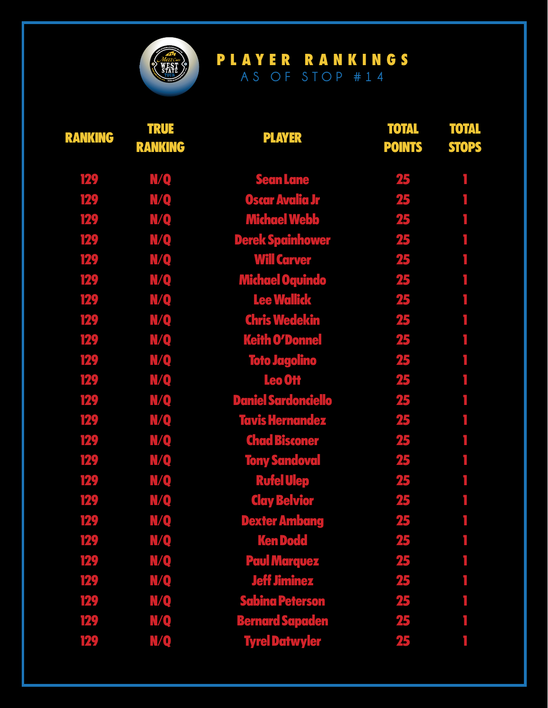

| <b>RANKING</b> | <b>TRUE</b><br><b>RANKING</b> | <b>PLAYER</b>              | <b>TOTAL</b><br><b>POINTS</b> | <b>TOTAL</b><br><b>STOPS</b> |
|----------------|-------------------------------|----------------------------|-------------------------------|------------------------------|
| 129            | N/Q                           | <b>Sean Lane</b>           | 25                            |                              |
| 129            | <b>N/Q</b>                    | Oscar Avalia Jr            | 25                            |                              |
| 129            | <b>N/Q</b>                    | <b>Michael Webb</b>        | 25                            |                              |
| 129            | <b>N/Q</b>                    | <b>Derek Spainhower</b>    | 25                            |                              |
| 129            | N/Q                           | <b>Will Carver</b>         | 25                            |                              |
| 129            | <b>N/Q</b>                    | <b>Michael Oquindo</b>     | 25                            |                              |
| 129            | <b>N/Q</b>                    | <b>Lee Wallick</b>         | 25                            |                              |
| 129            | <b>N/Q</b>                    | <b>Chris Wedekin</b>       | 25                            |                              |
| 129            | N/Q                           | <b>Keith O'Donnel</b>      | 25                            |                              |
| 129            | <b>N/Q</b>                    | <u>Toto Jagolino</u>       | 25                            |                              |
| 129            | N/Q                           | Leo Ott                    | 25                            |                              |
| 129            | <b>N/Q</b>                    | <b>Daniel Sardonciello</b> | 25                            |                              |
| 129            | N/Q                           | <b>Tavis Hernandez</b>     | 25                            |                              |
| 129            | <b>N/Q</b>                    | <b>Chad Bisconer</b>       | 25                            |                              |
| 129            | N/Q                           | <b>Tony Sandoval</b>       | 25                            |                              |
| 129            | <b>N/Q</b>                    | <b>Rufel Ulep</b>          | 25                            |                              |
| 129            | <b>N/Q</b>                    | <b>Clay Belvior</b>        | 25                            |                              |
| 129            | <b>N/Q</b>                    | <b>Dexter Ambang</b>       | 25                            | r.                           |
| 129            | N/Q                           | <b>Ken Dodd</b>            | 25                            |                              |
| 129            | <u>M/Q</u>                    | <b>Paul Marquez</b>        | 25                            |                              |
| 129            | N/Q                           | <b>Jeff Jiminez</b>        | 25                            |                              |
| 129            | <u>MQ</u>                     | <b>Sabina Peterson</b>     | 25                            |                              |
| 129            | N/Q                           | <b>Bernard Sapaden</b>     | 25                            |                              |
| 129            | N/Q                           | <b>Tyrel Datwyler</b>      | 25                            |                              |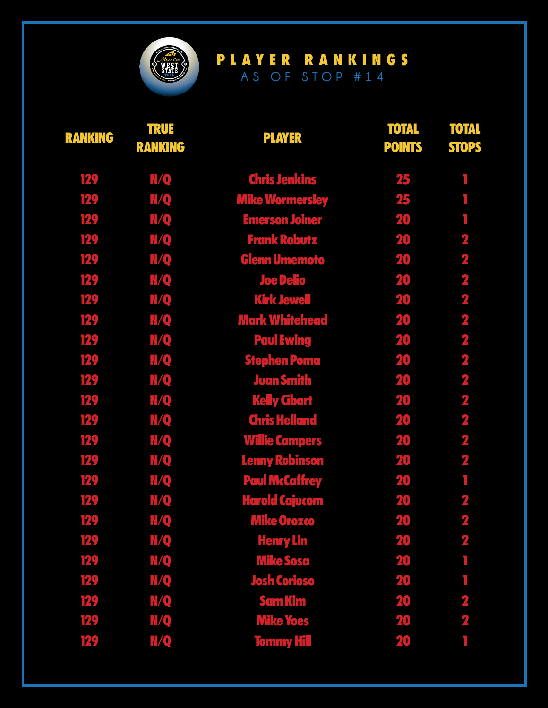

| <b>RANKING</b> | <b>TRUE</b><br><b>RANKING</b> | <b>PLAYER</b>          | <b>TOTAL</b><br><b>POINTS</b> | <b>TOTAL</b><br><b>STOPS</b> |
|----------------|-------------------------------|------------------------|-------------------------------|------------------------------|
| 129            | N/Q                           | <b>Chris Jenkins</b>   | 25                            |                              |
| 129            | <u>N/Q</u>                    | <b>Mike Wormersley</b> | 25                            |                              |
| 129            | N/Q                           | <b>Emerson Joiner</b>  | 20                            |                              |
| 129            | N/Q                           | <b>Frank Robutz</b>    | 20                            | $\overline{\mathbf{z}}$      |
| 129            | N/Q                           | <b>Glenn Umemoto</b>   | 20                            | $\overline{\mathbf{z}}$      |
| 129            | N/Q                           | <b>Joe Delio</b>       | 20                            | $\overline{\mathbf{z}}$      |
| 129            | N/Q                           | <b>Kirk Jewell</b>     | 20                            | $\overline{\mathbf{z}}$      |
| 129            | N/Q                           | <b>Mark Whitehead</b>  | 20                            | $\mathbf{z}$                 |
| 129            | <u>MQ</u>                     | <b>Paul Ewing</b>      | 20                            | $\overline{\mathbf{z}}$      |
| 129            | N/Q                           | <b>Stephen Poma</b>    | 20                            | $\overline{\mathbf{z}}$      |
| 129            | N/Q                           | <b>Juan Smith</b>      | 20                            | $\overline{\mathbf{z}}$      |
| 129            | <b>N/Q</b>                    | <b>Kelly Cibart</b>    | 20                            | $\overline{\mathbf{2}}$      |
| 129            | N/Q                           | <b>Chris Helland</b>   | 20                            | $\overline{\mathbf{z}}$      |
| 129            | N/Q                           | <b>Willie Campers</b>  | 20                            | $\overline{\mathbf{2}}$      |
| 129            | N/Q                           | <b>Lenny Robinson</b>  | 20                            | $\overline{\mathbf{z}}$      |
| 129            | N/Q                           | <b>Paul McCaffrey</b>  | 20                            | f.                           |
| 129            | N/Q                           | <b>Harold Cajucom</b>  | 20                            | $\overline{\mathbf{z}}$      |
| 129            | N/Q                           | <b>Mike Orozco</b>     | 20                            | $\overline{\mathbf{2}}$      |
| 129            | N/Q                           | <b>Henry Lin</b>       | 20                            | $\overline{\mathbf{z}}$      |
| 129            | <u>MQ</u>                     | <b>Mike Sosa</b>       | 20                            |                              |
| 129            | <u>MQ</u>                     | <b>Josh Corioso</b>    | 20                            |                              |
| 129            | N/Q                           | <b>Sam Kim</b>         | 20                            | $\overline{\mathbf{2}}$      |
| 129            | N/Q                           | <b>Mike Yoes</b>       | 20                            | $\overline{\mathbf{2}}$      |
| 129            | <b>N/Q</b>                    | <b>Tommy Hill</b>      | 20                            |                              |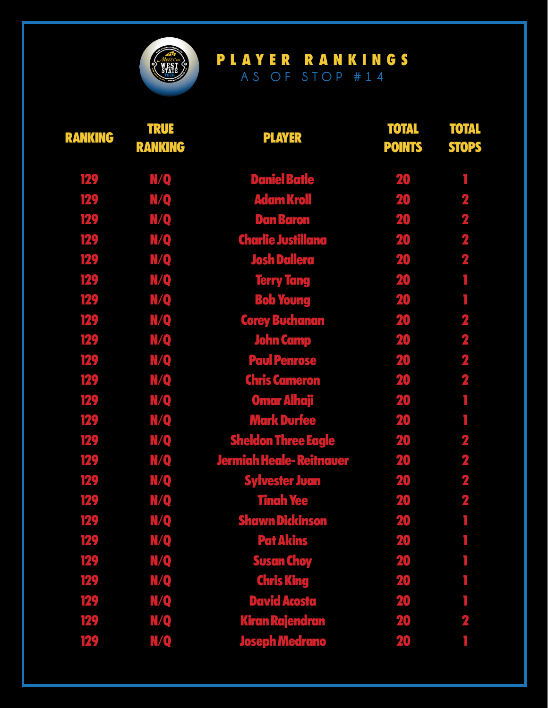

| <b>RANKING</b> | <b>TRUE</b><br><b>RANKING</b> | <b>PLAYER</b>                  | <b>TOTAL</b><br><b>POINTS</b> | <b>TOTAL</b><br><b>STOPS</b> |
|----------------|-------------------------------|--------------------------------|-------------------------------|------------------------------|
| 129            | N/Q                           | <b>Daniel Batle</b>            | 20                            |                              |
| 129            | N/Q                           | <b>Adam Kroll</b>              | 20                            | $\overline{\mathbf{z}}$      |
| 129            | <b>N/Q</b>                    | <b>Dan Baron</b>               | 20                            | $\mathbf 2$                  |
| 129            | <b>N/Q</b>                    | <b>Charlie Justillana</b>      | 20                            | $\overline{\mathbf{2}}$      |
| 129            | N/Q                           | <b>Josh Dallera</b>            | 20                            | $\overline{\mathbf{2}}$      |
| 129            | <b>N/Q</b>                    | <b>Terry Tang</b>              | 20                            | Ī.                           |
| 129            | <b>N/Q</b>                    | <b>Bob Young</b>               | 20                            |                              |
| 129            | <b>N/Q</b>                    | <b>Corey Buchanan</b>          | 20                            | $\overline{\mathbf{z}}$      |
| 129            | N/Q                           | <b>John Camp</b>               | 20                            | $\overline{\mathbf{2}}$      |
| 129            | <b>N/Q</b>                    | <b>Paul Penrose</b>            | 20                            | $\overline{\mathbf{2}}$      |
| 129            | N/Q                           | <b>Chris Cameron</b>           | 20                            | $\overline{\mathbf{2}}$      |
| 129            | <b>N/Q</b>                    | <b>Omar Alhaji</b>             | 20                            |                              |
| 129            | N/Q                           | <b>Mark Durfee</b>             | 20                            |                              |
| 129            | N/Q                           | <b>Sheldon Three Eagle</b>     | 20                            | $\overline{\mathbf{z}}$      |
| 129            | N/Q                           | <b>Jermiah Heale-Reitnauer</b> | 20                            | $\overline{\mathbf{2}}$      |
| 129            | <b>N/Q</b>                    | <b>Sylvester Juan</b>          | 20                            | $\mathbf{z}$                 |
| 129            | N/Q                           | <b>Tinah Yee</b>               | 20                            | $\overline{\mathbf{2}}$      |
| 129            | N/Q                           | <b>Shawn Dickinson</b>         | 20                            | r.                           |
| 129            | N/Q                           | <b>Pat Akins</b>               | 20                            |                              |
| 129            | N/Q                           | <b>Susan Choy</b>              | 20                            |                              |
| 129            | N/Q                           | <b>Chris King</b>              | 20                            |                              |
| 129            | N/Q                           | <b>David Acosta</b>            | 20                            |                              |
| 129            | N/Q                           | <b>Kiran Rajendran</b>         | 20                            | $\mathbf 2$                  |
| 129            | <b>N/Q</b>                    | <b>Joseph Medrano</b>          | 20                            |                              |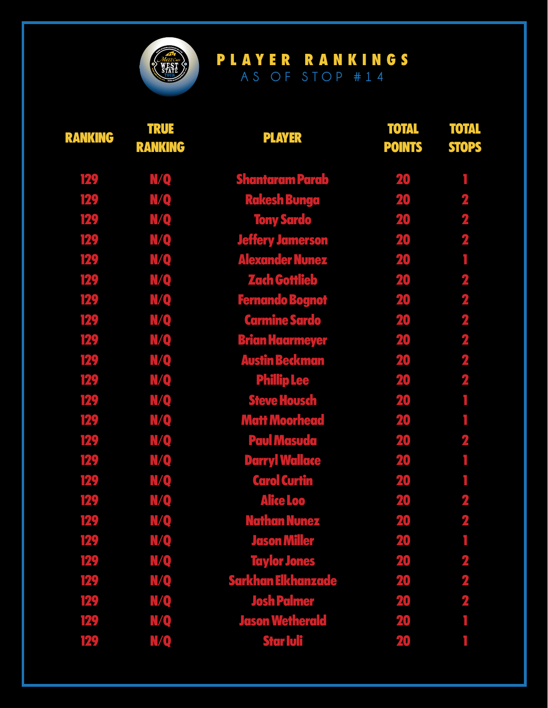

| <b>RANKING</b> | <b>TRUE</b><br><b>RANKING</b> | <b>PLAYER</b>             | <b>TOTAL</b><br><b>POINTS</b> | <b>TOTAL</b><br><b>STOPS</b> |
|----------------|-------------------------------|---------------------------|-------------------------------|------------------------------|
| 129            | N/Q                           | <b>Shantaram Parab</b>    | 20                            |                              |
| 129            | <b>N/Q</b>                    | <b>Rakesh Bunga</b>       | 20                            | $\mathbf{2}$                 |
| 129            | <b>N/Q</b>                    | <b>Tony Sardo</b>         | 20                            | $\mathbf 2$                  |
| 129            | <b>N/Q</b>                    | <b>Jeffery Jamerson</b>   | 20                            | $\overline{\mathbf{z}}$      |
| 129            | N/Q                           | <b>Alexander Nunez</b>    | 20                            |                              |
| 129            | N/Q                           | <b>Zach Gottlieb</b>      | 20                            | $\overline{\mathbf{2}}$      |
| 129            | <b>N/Q</b>                    | <b>Fernando Bognot</b>    | 20                            | $\overline{\mathbf{z}}$      |
| 129            | N/Q                           | <b>Carmine Sardo</b>      | 20                            | $\overline{\mathbf{2}}$      |
| 129            | <u>MQ</u>                     | <b>Brian Haarmeyer</b>    | 20                            | $\overline{\mathbf{z}}$      |
| 129            | <b>N/Q</b>                    | <b>Austin Beckman</b>     | 20                            | $\overline{\mathbf{2}}$      |
| 129            | N/Q                           | <b>Phillip Lee</b>        | 20                            | $\overline{\mathbf{2}}$      |
| 129            | N/Q                           | <b>Steve Housch</b>       | 20                            |                              |
| 129            | N/Q                           | <b>Matt Moorhead</b>      | 20                            |                              |
| 129            | N/Q                           | <b>Paul Masuda</b>        | 20                            | $\overline{\mathbf{z}}$      |
| 129            | N/Q                           | <b>Darryl Wallace</b>     | 20                            |                              |
| 129            | N/Q                           | <b>Carol Curtin</b>       | 20                            |                              |
| 129            | N/Q                           | <b>Alice Loo</b>          | 20                            | $\overline{\mathbf{2}}$      |
| 129            | N/Q                           | <b>Nathan Nunez</b>       | 20                            | 2                            |
| 129            | N/Q                           | <b>Jason Miller</b>       | 20                            |                              |
| 129            | N/Q                           | <b>Taylor Jones</b>       | 20                            | $\mathbf{2}$                 |
| 129            | N/Q                           | <b>Sarkhan Elkhanzade</b> | 20                            | $\mathbf{z}$                 |
| 129            | N/Q                           | <b>Josh Palmer</b>        | 20                            | 2                            |
| 129            | N/Q                           | <b>Jason Wetherald</b>    | 20                            |                              |
| 129            | N/Q                           | <b>Star Iuli</b>          | 20                            |                              |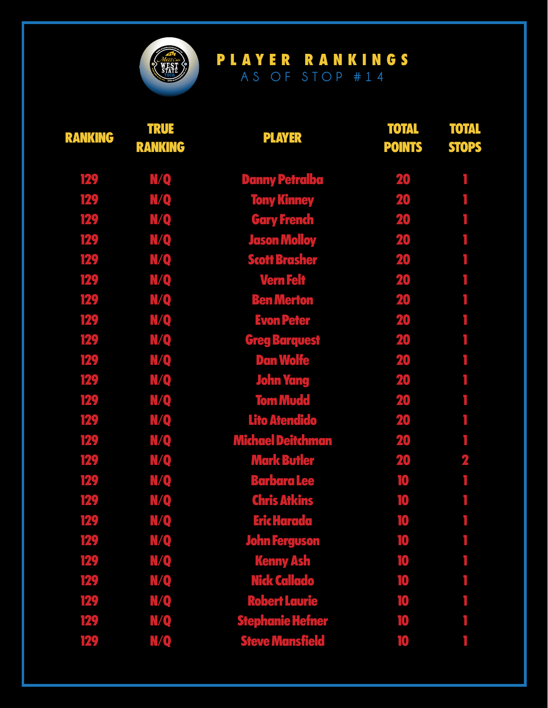

| <b>RANKING</b> | <b>TRUE</b><br><b>RANKING</b> | <b>PLAYER</b>            | <b>TOTAL</b><br><b>POINTS</b> | <b>TOTAL</b><br><b>STOPS</b> |
|----------------|-------------------------------|--------------------------|-------------------------------|------------------------------|
| 129            | N/Q                           | <b>Danny Petralba</b>    | 20                            |                              |
| 129            | <b>N/Q</b>                    | <b>Tony Kinney</b>       | 20                            |                              |
| 129            | <b>N/Q</b>                    | <b>Gary French</b>       | 20                            |                              |
| 129            | <b>N/Q</b>                    | <b>Jason Molloy</b>      | 20                            |                              |
| 129            | N/Q                           | <b>Scott Brasher</b>     | 20                            |                              |
| 129            | <b>N/Q</b>                    | <b>Vern Felt</b>         | 20                            |                              |
| 129            | <b>N/Q</b>                    | <b>Ben Merton</b>        | 20                            |                              |
| 129            | <b>N/Q</b>                    | <b>Evon Peter</b>        | 20                            |                              |
| 129            | N/Q                           | <b>Greg Barquest</b>     | 20                            |                              |
| 129            | N/Q                           | <b>Dan Wolfe</b>         | 20                            |                              |
| 129            | N/Q                           | <b>John Yang</b>         | 20                            |                              |
| 129            | N/Q                           | <b>Tom Mudd</b>          | 20                            |                              |
| 129            | N/Q                           | <b>Lito Atendido</b>     | 20                            |                              |
| 129            | <b>N/Q</b>                    | <b>Michael Deitchman</b> | 20                            | ٦                            |
| 129            | N/Q                           | <b>Mark Butler</b>       | 20                            | $\overline{\mathbf{z}}$      |
| 129            | N/Q                           | <b>Barbara Lee</b>       | 10                            |                              |
| 129            | N/Q                           | <b>Chris Atkins</b>      | 10                            |                              |
| 129            | N/Q                           | <b>Eric Harada</b>       | 10                            | r.                           |
| 129            | N/Q                           | <b>John Ferguson</b>     | 10                            |                              |
| 129            | N/Q                           | <b>Kenny Ash</b>         | 10                            |                              |
| 129            | N/Q                           | Nick Callado             | 10                            |                              |
| 129            | <b>N/Q</b>                    | <b>Robert Laurie</b>     | 10                            |                              |
| 129            | N/Q                           | <b>Stephanie Hefner</b>  | 10                            |                              |
| 129            | N/Q                           | <b>Steve Mansfield</b>   | 10                            |                              |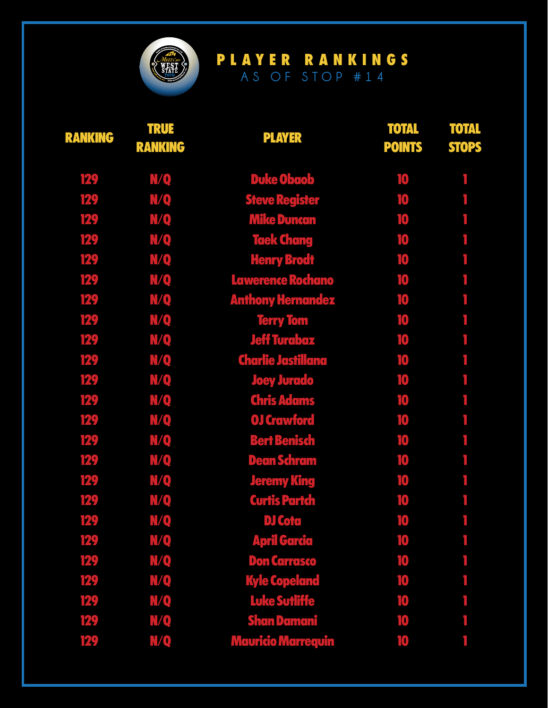

| <b>RANKING</b> | <b>TRUE</b><br><b>RANKING</b> | <b>PLAYER</b>             | <b>TOTAL</b><br><b>POINTS</b> | <b>TOTAL</b><br><b>STOPS</b> |
|----------------|-------------------------------|---------------------------|-------------------------------|------------------------------|
| 129            | <b>N/Q</b>                    | <b>Duke Obaob</b>         | 10                            |                              |
| 129            | <b>N/Q</b>                    | <b>Steve Register</b>     | 10                            |                              |
| 129            | <b>N/Q</b>                    | <b>Mike Duncan</b>        | 10                            |                              |
| 129            | <b>N/Q</b>                    | <b>Taek Chang</b>         | 10                            |                              |
| 129            | N/Q                           | <b>Henry Brodt</b>        | 10                            |                              |
| 129            | <b>N/Q</b>                    | Lawerence Rochano         | 10                            |                              |
| 129            | <b>N/Q</b>                    | <b>Anthony Hernandez</b>  | 10                            |                              |
| 129            | <b>N/Q</b>                    | <b>Terry Tom</b>          | 10                            |                              |
| 129            | N/Q                           | <b>Jeff Turabaz</b>       | 10                            |                              |
| 129            | <b>N/Q</b>                    | <b>Charlie Jastillana</b> | 10                            |                              |
| 129            | N/Q                           | <b>Joey Jurado</b>        | 10                            |                              |
| 129            | N/Q                           | <b>Chris Adams</b>        | 10                            |                              |
| 129            | N/Q                           | <b>OJ Crawford</b>        | 10                            |                              |
| 129            | <b>N/Q</b>                    | <b>Bert Benisch</b>       | 10                            |                              |
| 129            | <b>N/Q</b>                    | <b>Dean Schram</b>        | 10                            |                              |
| 129            | <b>N/Q</b>                    | <b>Jeremy King</b>        | 10                            |                              |
| 129            | N/Q                           | <b>Curtis Partch</b>      | 10                            |                              |
| 129            | <b>N/Q</b>                    | <b>DJ Cota</b>            | 10                            | r.                           |
| 129            | <b>N/Q</b>                    | <b>April Garcia</b>       | 10                            |                              |
| 129            | <b>N/Q</b>                    | <b>Don Carrasco</b>       | 10                            |                              |
| 129            | <u>MQ</u>                     | <b>Kyle Copeland</b>      | 10                            |                              |
| 129            | N/Q                           | <b>Luke Sutliffe</b>      | 10                            |                              |
| 129            | N/Q                           | <b>Shan Damani</b>        | 10                            |                              |
| 129            | N/Q                           | <b>Mauricio Marrequin</b> | 10                            |                              |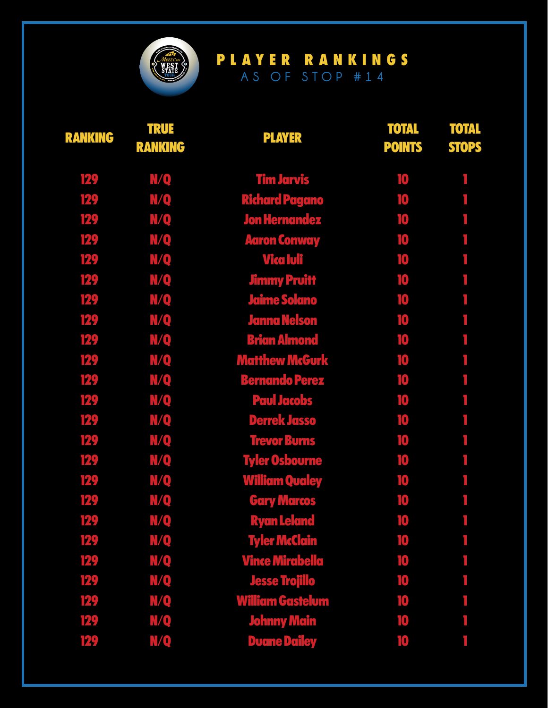

| <b>RANKING</b> | <b>TRUE</b><br><b>RANKING</b> | <b>PLAYER</b>           | <b>TOTAL</b><br><b>POINTS</b> | <b>TOTAL</b><br><b>STOPS</b> |
|----------------|-------------------------------|-------------------------|-------------------------------|------------------------------|
| 129            | <b>N/Q</b>                    | <b>Tim Jarvis</b>       | 10                            |                              |
| 129            | N/Q                           | <b>Richard Pagano</b>   | 10                            |                              |
| 129            | <b>N/Q</b>                    | <b>Jon Hernandez</b>    | 10                            |                              |
| 129            | N/Q                           | <b>Aaron Conway</b>     | 10                            |                              |
| 129            | <b>N/Q</b>                    | Vica Iuli               | 10                            |                              |
| 129            | N/Q                           | <b>Jimmy Pruitt</b>     | 10                            |                              |
| 129            | N/Q                           | <b>Jaime Solano</b>     | 10                            |                              |
| 129            | <b>N/Q</b>                    | <b>Janna Nelson</b>     | 10                            |                              |
| 129            | N/Q                           | <b>Brian Almond</b>     | 10                            |                              |
| 129            | N/Q                           | <b>Matthew McGurk</b>   | 10                            |                              |
| 129            | N/Q                           | <b>Bernando Perez</b>   | 10                            |                              |
| 129            | <b>N/Q</b>                    | <b>Paul Jacobs</b>      | 10                            |                              |
| 129            | N/Q                           | <b>Derrek Jasso</b>     | 10                            |                              |
| 129            | <b>N/Q</b>                    | <b>Trevor Burns</b>     | 10                            |                              |
| 129            | N/Q                           | <b>Tyler Osbourne</b>   | 10                            |                              |
| 129            | <b>N/Q</b>                    | <b>William Qualey</b>   | 10                            |                              |
| 129            | <u>MQ</u>                     | <b>Gary Marcos</b>      | 10                            |                              |
| 129            | N/Q                           | <b>Ryan Leland</b>      | 10                            | Ŧ.                           |
| 129            | N/Q                           | <b>Tyler McClain</b>    | $\mathbf{10}$                 |                              |
| 129            | N/Q                           | <b>Vince Mirabella</b>  | 10                            |                              |
| 129            | <b>N/Q</b>                    | <b>Jesse Trojillo</b>   | 10                            |                              |
| 129            | <u>MQ</u>                     | <b>William Gastelum</b> | 10                            |                              |
| 129            | N/Q                           | <b>Johnny Main</b>      | 10                            |                              |
| 129            | N/Q                           | <b>Duane Dailey</b>     | 10                            |                              |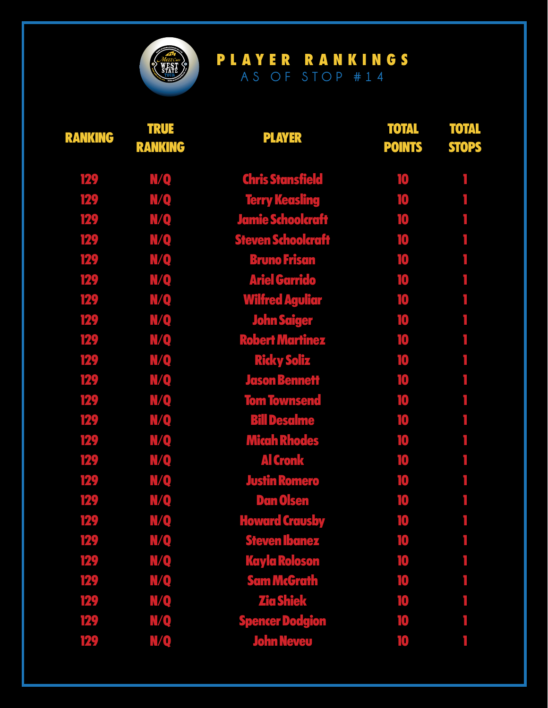

| <b>RANKING</b> | <b>TRUE</b><br><b>RANKING</b> | <b>PLAYER</b>             | <b>TOTAL</b><br><b>POINTS</b> | <b>TOTAL</b><br><b>STOPS</b> |
|----------------|-------------------------------|---------------------------|-------------------------------|------------------------------|
| 129            | N/Q                           | <b>Chris Stansfield</b>   | 10                            |                              |
| 129            | <b>N/Q</b>                    | <b>Terry Keasling</b>     | 10                            |                              |
| 129            | <b>N/Q</b>                    | <b>Jamie Schoolcraft</b>  | 10                            |                              |
| 129            | <b>N/Q</b>                    | <b>Steven Schoolcraft</b> | 10                            |                              |
| 129            | N/Q                           | <b>Bruno Frisan</b>       | 10                            |                              |
| 129            | <b>N/Q</b>                    | <b>Ariel Garrido</b>      | 10                            |                              |
| 129            | <b>N/Q</b>                    | <b>Wilfred Aguliar</b>    | 10                            |                              |
| 129            | <b>N/Q</b>                    | John Saiger               | 10                            |                              |
| 129            | N/Q                           | <b>Robert Martinez</b>    | 10                            |                              |
| 129            | <b>N/Q</b>                    | <b>Ricky Soliz</b>        | 10                            |                              |
| 129            | <b>N/Q</b>                    | <b>Jason Bennett</b>      | 10                            |                              |
| 129            | <b>N/Q</b>                    | <b>Tom Townsend</b>       | 10                            |                              |
| 129            | N/Q                           | <b>Bill Desalme</b>       | 10                            |                              |
| 129            | <b>N/Q</b>                    | <b>Micah Rhodes</b>       | 10                            |                              |
| 129            | <b>N/Q</b>                    | <b>Al Cronk</b>           | 10                            |                              |
| 129            | <b>N/Q</b>                    | <b>Justin Romero</b>      | 10                            |                              |
| 129            | <b>N/Q</b>                    | <b>Dan Olsen</b>          | 10                            |                              |
| 129            | <b>N/Q</b>                    | <b>Howard Crausby</b>     | 10                            | r.                           |
| 129            | <b>N/Q</b>                    | <b>Steven Ibanez</b>      | 10                            |                              |
| 129            | <u>N/Q</u>                    | <b>Kayla Roloson</b>      | 10                            |                              |
| 129            | <u>M/Q</u>                    | <b>Sam McGrath</b>        | 10                            |                              |
| 129            | N/Q                           | <b>Zia Shiek</b>          | 10                            |                              |
| 129            | N/Q                           | <b>Spencer Dodgion</b>    | 10                            |                              |
| 129            | N/Q                           | <b>John Neveu</b>         | 10                            |                              |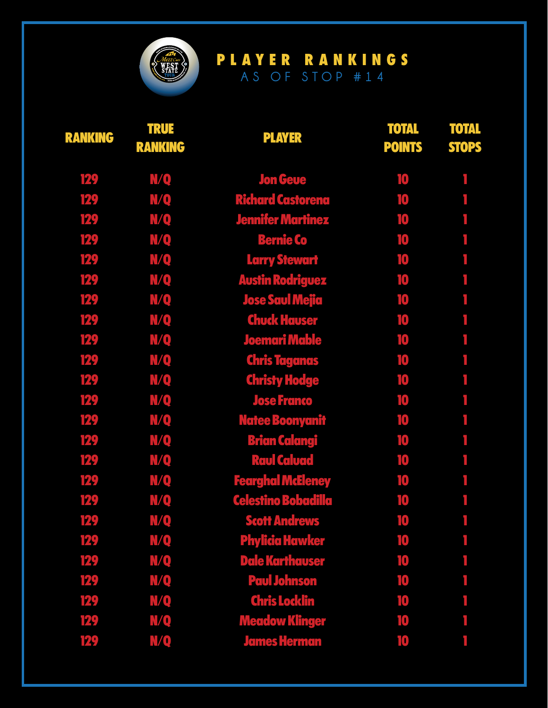

| <b>RANKING</b> | <b>TRUE</b><br><b>RANKING</b> | <b>PLAYER</b>              | <b>TOTAL</b><br><b>POINTS</b> | <b>TOTAL</b><br><b>STOPS</b> |
|----------------|-------------------------------|----------------------------|-------------------------------|------------------------------|
| 129            | <b>N/Q</b>                    | <b>Jon Geue</b>            | 10                            |                              |
| 129            | <b>N/Q</b>                    | <b>Richard Castorena</b>   | 10                            |                              |
| 129            | <b>N/Q</b>                    | <b>Jennifer Martinez</b>   | 10                            |                              |
| 129            | <b>N/Q</b>                    | <b>Bernie Co</b>           | 10                            |                              |
| 129            | N/Q                           | <b>Larry Stewart</b>       | 10                            |                              |
| 129            | <b>N/Q</b>                    | <b>Austin Rodriguez</b>    | 10                            |                              |
| 129            | $N$ <sup>O</sup>              | <b>Jose Saul Mejia</b>     | 10                            |                              |
| 129            | <b>N/Q</b>                    | <b>Chuck Hauser</b>        | 10                            |                              |
| 129            | N/Q                           | <b>Joemari Mable</b>       | 10                            |                              |
| 129            | <b>N/Q</b>                    | <b>Chris Taganas</b>       | 10                            |                              |
| 129            | <b>N/Q</b>                    | <b>Christy Hodge</b>       | 10                            |                              |
| 129            | <b>N/Q</b>                    | <b>Jose Franco</b>         | 10                            |                              |
| 129            | <b>N/Q</b>                    | <b>Natee Boonyanit</b>     | 10                            |                              |
| 129            | <b>N/Q</b>                    | <b>Brian Calangi</b>       | 10                            |                              |
| 129            | <b>N/Q</b>                    | <b>Raul Caluad</b>         | 10                            |                              |
| 129            | <b>N/Q</b>                    | <b>Fearghal McEleney</b>   | 10                            |                              |
| 129            | N/Q                           | <b>Celestino Bobadilla</b> | 10                            |                              |
| 129            | <b>N/Q</b>                    | <b>Scott Andrews</b>       | 10                            | r.                           |
| 129            | <b>N/Q</b>                    | <b>Phylicia Hawker</b>     | 10                            |                              |
| 129            | <b>N/Q</b>                    | <b>Dale Karthauser</b>     | 10                            |                              |
| 129            | N/Q                           | <b>Paul Johnson</b>        | 10                            |                              |
| 129            | N/Q                           | <b>Chris Locklin</b>       | 10                            |                              |
| 129            | <b>N/Q</b>                    | <b>Meadow Klinger</b>      | 10                            |                              |
| 129            | N/Q                           | <b>James Herman</b>        | 10                            |                              |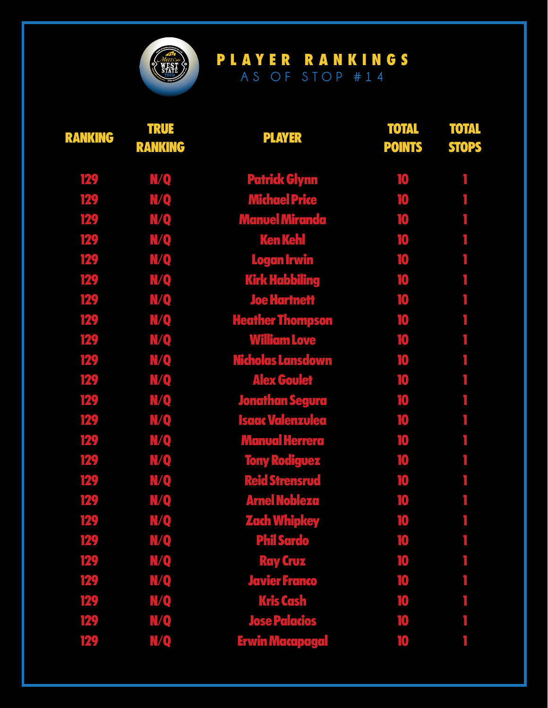

| <b>RANKING</b> | <b>TRUE</b><br><b>RANKING</b> | <b>PLAYER</b>            | <b>TOTAL</b><br><b>POINTS</b> | <b>TOTAL</b><br><b>STOPS</b> |
|----------------|-------------------------------|--------------------------|-------------------------------|------------------------------|
| 129            | <b>N/Q</b>                    | <b>Patrick Glynn</b>     | 10                            |                              |
| 129            | <b>N/Q</b>                    | <b>Michael Price</b>     | 10                            |                              |
| 129            | <b>N/Q</b>                    | <b>Manuel Miranda</b>    | 10                            |                              |
| 129            | N/Q                           | <b>Ken Kehl</b>          | 10                            |                              |
| 129            | N/Q                           | <b>Logan Irwin</b>       | 10                            |                              |
| 129            | <b>N/Q</b>                    | <b>Kirk Habbiling</b>    | 10                            |                              |
| 129            | N/Q                           | <b>Joe Hartnett</b>      | 10                            |                              |
| 129            | <b>N/Q</b>                    | <b>Heather Thompson</b>  | 10                            |                              |
| 129            | <b>N/Q</b>                    | <b>William Love</b>      | 10                            |                              |
| 129            | <b>N/Q</b>                    | <b>Nicholas Lansdown</b> | 10                            |                              |
| 129            | N/Q                           | <b>Alex Goulet</b>       | 10                            |                              |
| 129            | N/Q                           | <b>Jonathan Segura</b>   | 10                            |                              |
| 129            | <b>N/Q</b>                    | <b>Isaac Valenzulea</b>  | 10                            |                              |
| 129            | <b>N/Q</b>                    | <b>Manual Herrera</b>    | 10                            |                              |
| 129            | <b>N/Q</b>                    | <b>Tony Rodiguez</b>     | 10                            |                              |
| 129            | <b>N/Q</b>                    | <b>Reid Strensrud</b>    | 10                            |                              |
| 129            | <b>N/Q</b>                    | <b>Arnel Nobleza</b>     | 10                            |                              |
| 129            | N/Q                           | <b>Zach Whipkey</b>      | 10                            | r.                           |
| 129            | <b>N/Q</b>                    | <b>Phil Sardo</b>        | 10                            |                              |
| 129            | N/Q                           | <b>Ray Cruz</b>          | 10                            |                              |
| 129            | <u>MQ</u>                     | <b>Javier Franco</b>     | 10                            |                              |
| 129            | <b>N/Q</b>                    | <b>Kris Cash</b>         | 10                            |                              |
| 129            | <b>N/Q</b>                    | <b>Jose Palacios</b>     | 10                            |                              |
| 129            | N/Q                           | <b>Erwin Macapagal</b>   | 10                            |                              |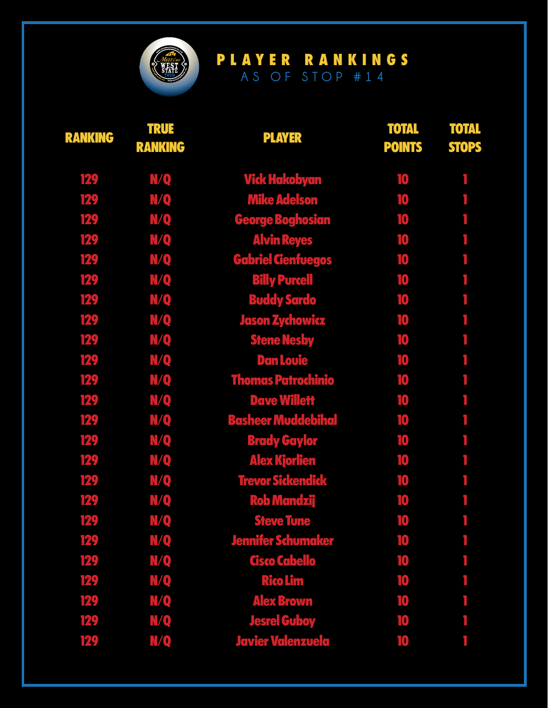

| <b>RANKING</b> | <b>TRUE</b><br><b>RANKING</b> | <b>PLAYER</b>             | <b>TOTAL</b><br><b>POINTS</b> | <b>TOTAL</b><br><b>STOPS</b> |
|----------------|-------------------------------|---------------------------|-------------------------------|------------------------------|
| 129            | N/Q                           | Vick Hakobyan             | 10                            |                              |
| 129            | <b>N/Q</b>                    | <b>Mike Adelson</b>       | 10                            |                              |
| 129            | <b>N/Q</b>                    | <b>George Boghosian</b>   | 10                            |                              |
| 129            | <b>N/Q</b>                    | <b>Alvin Reyes</b>        | 10                            |                              |
| 129            | N/Q                           | <b>Gabriel Cienfuegos</b> | 10                            |                              |
| 129            | <b>N/Q</b>                    | <b>Billy Purcell</b>      | 10                            |                              |
| 129            | <b>N/Q</b>                    | <b>Buddy Sardo</b>        | 10                            |                              |
| 129            | <b>N/Q</b>                    | Jason Zychowicz           | 10                            |                              |
| 129            | <b>N/Q</b>                    | <b>Stene Nesby</b>        | 10                            |                              |
| 129            | <b>N/Q</b>                    | <b>Dan Louie</b>          | 10                            | ۱                            |
| 129            | <b>N/Q</b>                    | <b>Thomas Patrochinio</b> | 10                            |                              |
| 129            | <b>N/Q</b>                    | <b>Dave Willett</b>       | 10                            |                              |
| 129            | <b>N/Q</b>                    | <b>Basheer Muddebihal</b> | 10                            |                              |
| 129            | <b>N/Q</b>                    | <b>Brady Gaylor</b>       | 10                            |                              |
| 129            | <b>N/Q</b>                    | <b>Alex Kjorlien</b>      | 10                            |                              |
| 129            | <b>N/Q</b>                    | <b>Trevor Sickendick</b>  | 10                            |                              |
| 129            | N/Q                           | <b>Rob Mandzij</b>        | 10                            |                              |
| 129            | N/Q                           | <b>Steve Tune</b>         | 10                            |                              |
| 129            | N/Q                           | <b>Jennifer Schumaker</b> | 10                            |                              |
| 129            | <b>N/Q</b>                    | Cisco Cabello             | 10                            |                              |
| 129            | N/Q                           | <b>Rico Lim</b>           | 10                            |                              |
| 129            | N/Q                           | <b>Alex Brown</b>         | 10                            |                              |
| 129            | N/Q                           | <b>Jesrel Guboy</b>       | 10                            |                              |
| 129            | N/Q                           | <b>Javier Valenzuela</b>  | 10                            |                              |